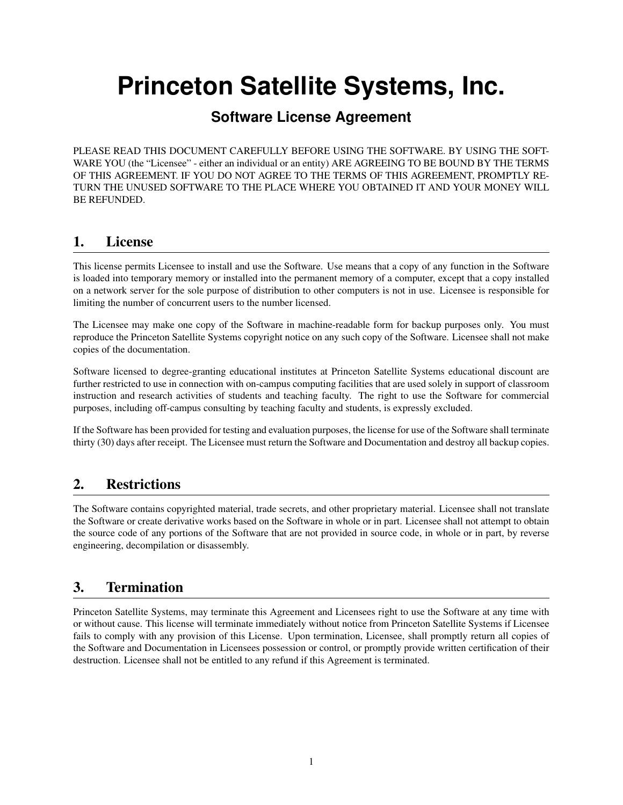# **Princeton Satellite Systems, Inc.**

## **Software License Agreement**

PLEASE READ THIS DOCUMENT CAREFULLY BEFORE USING THE SOFTWARE. BY USING THE SOFT-WARE YOU (the "Licensee" - either an individual or an entity) ARE AGREEING TO BE BOUND BY THE TERMS OF THIS AGREEMENT. IF YOU DO NOT AGREE TO THE TERMS OF THIS AGREEMENT, PROMPTLY RE-TURN THE UNUSED SOFTWARE TO THE PLACE WHERE YOU OBTAINED IT AND YOUR MONEY WILL BE REFUNDED.

#### 1. License

This license permits Licensee to install and use the Software. Use means that a copy of any function in the Software is loaded into temporary memory or installed into the permanent memory of a computer, except that a copy installed on a network server for the sole purpose of distribution to other computers is not in use. Licensee is responsible for limiting the number of concurrent users to the number licensed.

The Licensee may make one copy of the Software in machine-readable form for backup purposes only. You must reproduce the Princeton Satellite Systems copyright notice on any such copy of the Software. Licensee shall not make copies of the documentation.

Software licensed to degree-granting educational institutes at Princeton Satellite Systems educational discount are further restricted to use in connection with on-campus computing facilities that are used solely in support of classroom instruction and research activities of students and teaching faculty. The right to use the Software for commercial purposes, including off-campus consulting by teaching faculty and students, is expressly excluded.

If the Software has been provided for testing and evaluation purposes, the license for use of the Software shall terminate thirty (30) days after receipt. The Licensee must return the Software and Documentation and destroy all backup copies.

## 2. Restrictions

The Software contains copyrighted material, trade secrets, and other proprietary material. Licensee shall not translate the Software or create derivative works based on the Software in whole or in part. Licensee shall not attempt to obtain the source code of any portions of the Software that are not provided in source code, in whole or in part, by reverse engineering, decompilation or disassembly.

## 3. Termination

Princeton Satellite Systems, may terminate this Agreement and Licensees right to use the Software at any time with or without cause. This license will terminate immediately without notice from Princeton Satellite Systems if Licensee fails to comply with any provision of this License. Upon termination, Licensee, shall promptly return all copies of the Software and Documentation in Licensees possession or control, or promptly provide written certification of their destruction. Licensee shall not be entitled to any refund if this Agreement is terminated.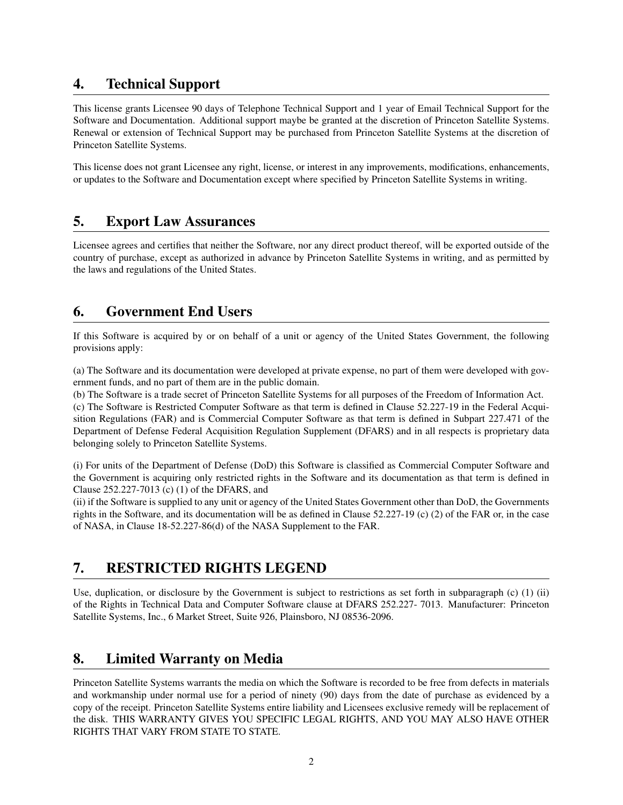#### 4. Technical Support

This license grants Licensee 90 days of Telephone Technical Support and 1 year of Email Technical Support for the Software and Documentation. Additional support maybe be granted at the discretion of Princeton Satellite Systems. Renewal or extension of Technical Support may be purchased from Princeton Satellite Systems at the discretion of Princeton Satellite Systems.

This license does not grant Licensee any right, license, or interest in any improvements, modifications, enhancements, or updates to the Software and Documentation except where specified by Princeton Satellite Systems in writing.

#### 5. Export Law Assurances

Licensee agrees and certifies that neither the Software, nor any direct product thereof, will be exported outside of the country of purchase, except as authorized in advance by Princeton Satellite Systems in writing, and as permitted by the laws and regulations of the United States.

## 6. Government End Users

If this Software is acquired by or on behalf of a unit or agency of the United States Government, the following provisions apply:

(a) The Software and its documentation were developed at private expense, no part of them were developed with government funds, and no part of them are in the public domain.

(b) The Software is a trade secret of Princeton Satellite Systems for all purposes of the Freedom of Information Act.

(c) The Software is Restricted Computer Software as that term is defined in Clause 52.227-19 in the Federal Acquisition Regulations (FAR) and is Commercial Computer Software as that term is defined in Subpart 227.471 of the Department of Defense Federal Acquisition Regulation Supplement (DFARS) and in all respects is proprietary data belonging solely to Princeton Satellite Systems.

(i) For units of the Department of Defense (DoD) this Software is classified as Commercial Computer Software and the Government is acquiring only restricted rights in the Software and its documentation as that term is defined in Clause 252.227-7013 (c) (1) of the DFARS, and

(ii) if the Software is supplied to any unit or agency of the United States Government other than DoD, the Governments rights in the Software, and its documentation will be as defined in Clause 52.227-19 (c) (2) of the FAR or, in the case of NASA, in Clause 18-52.227-86(d) of the NASA Supplement to the FAR.

# 7. RESTRICTED RIGHTS LEGEND

Use, duplication, or disclosure by the Government is subject to restrictions as set forth in subparagraph (c) (1) (ii) of the Rights in Technical Data and Computer Software clause at DFARS 252.227- 7013. Manufacturer: Princeton Satellite Systems, Inc., 6 Market Street, Suite 926, Plainsboro, NJ 08536-2096.

## 8. Limited Warranty on Media

Princeton Satellite Systems warrants the media on which the Software is recorded to be free from defects in materials and workmanship under normal use for a period of ninety (90) days from the date of purchase as evidenced by a copy of the receipt. Princeton Satellite Systems entire liability and Licensees exclusive remedy will be replacement of the disk. THIS WARRANTY GIVES YOU SPECIFIC LEGAL RIGHTS, AND YOU MAY ALSO HAVE OTHER RIGHTS THAT VARY FROM STATE TO STATE.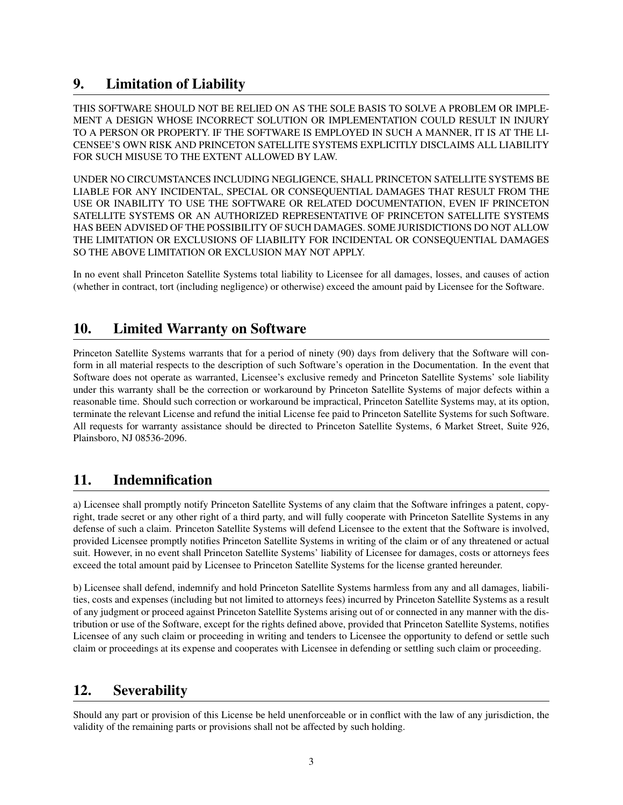## 9. Limitation of Liability

THIS SOFTWARE SHOULD NOT BE RELIED ON AS THE SOLE BASIS TO SOLVE A PROBLEM OR IMPLE-MENT A DESIGN WHOSE INCORRECT SOLUTION OR IMPLEMENTATION COULD RESULT IN INJURY TO A PERSON OR PROPERTY. IF THE SOFTWARE IS EMPLOYED IN SUCH A MANNER, IT IS AT THE LI-CENSEE'S OWN RISK AND PRINCETON SATELLITE SYSTEMS EXPLICITLY DISCLAIMS ALL LIABILITY FOR SUCH MISUSE TO THE EXTENT ALLOWED BY LAW.

UNDER NO CIRCUMSTANCES INCLUDING NEGLIGENCE, SHALL PRINCETON SATELLITE SYSTEMS BE LIABLE FOR ANY INCIDENTAL, SPECIAL OR CONSEQUENTIAL DAMAGES THAT RESULT FROM THE USE OR INABILITY TO USE THE SOFTWARE OR RELATED DOCUMENTATION, EVEN IF PRINCETON SATELLITE SYSTEMS OR AN AUTHORIZED REPRESENTATIVE OF PRINCETON SATELLITE SYSTEMS HAS BEEN ADVISED OF THE POSSIBILITY OF SUCH DAMAGES. SOME JURISDICTIONS DO NOT ALLOW THE LIMITATION OR EXCLUSIONS OF LIABILITY FOR INCIDENTAL OR CONSEQUENTIAL DAMAGES SO THE ABOVE LIMITATION OR EXCLUSION MAY NOT APPLY.

In no event shall Princeton Satellite Systems total liability to Licensee for all damages, losses, and causes of action (whether in contract, tort (including negligence) or otherwise) exceed the amount paid by Licensee for the Software.

## 10. Limited Warranty on Software

Princeton Satellite Systems warrants that for a period of ninety (90) days from delivery that the Software will conform in all material respects to the description of such Software's operation in the Documentation. In the event that Software does not operate as warranted, Licensee's exclusive remedy and Princeton Satellite Systems' sole liability under this warranty shall be the correction or workaround by Princeton Satellite Systems of major defects within a reasonable time. Should such correction or workaround be impractical, Princeton Satellite Systems may, at its option, terminate the relevant License and refund the initial License fee paid to Princeton Satellite Systems for such Software. All requests for warranty assistance should be directed to Princeton Satellite Systems, 6 Market Street, Suite 926, Plainsboro, NJ 08536-2096.

#### 11. Indemnification

a) Licensee shall promptly notify Princeton Satellite Systems of any claim that the Software infringes a patent, copyright, trade secret or any other right of a third party, and will fully cooperate with Princeton Satellite Systems in any defense of such a claim. Princeton Satellite Systems will defend Licensee to the extent that the Software is involved, provided Licensee promptly notifies Princeton Satellite Systems in writing of the claim or of any threatened or actual suit. However, in no event shall Princeton Satellite Systems' liability of Licensee for damages, costs or attorneys fees exceed the total amount paid by Licensee to Princeton Satellite Systems for the license granted hereunder.

b) Licensee shall defend, indemnify and hold Princeton Satellite Systems harmless from any and all damages, liabilities, costs and expenses (including but not limited to attorneys fees) incurred by Princeton Satellite Systems as a result of any judgment or proceed against Princeton Satellite Systems arising out of or connected in any manner with the distribution or use of the Software, except for the rights defined above, provided that Princeton Satellite Systems, notifies Licensee of any such claim or proceeding in writing and tenders to Licensee the opportunity to defend or settle such claim or proceedings at its expense and cooperates with Licensee in defending or settling such claim or proceeding.

## 12. Severability

Should any part or provision of this License be held unenforceable or in conflict with the law of any jurisdiction, the validity of the remaining parts or provisions shall not be affected by such holding.